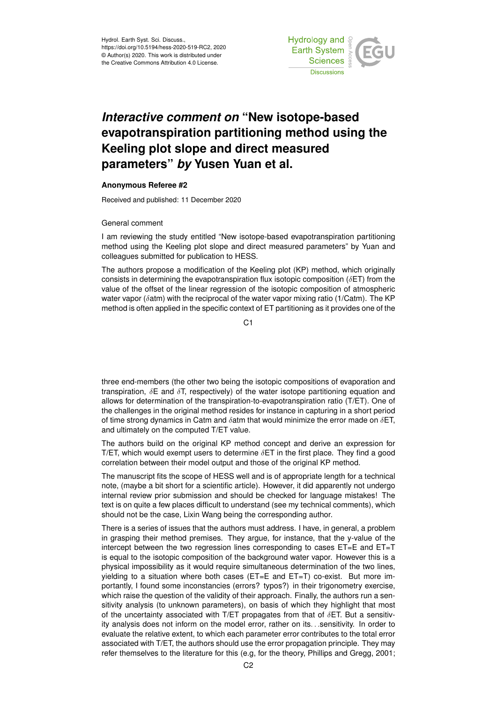

## *Interactive comment on* **"New isotope-based evapotranspiration partitioning method using the Keeling plot slope and direct measured parameters"** *by* **Yusen Yuan et al.**

## **Anonymous Referee #2**

Received and published: 11 December 2020

## General comment

I am reviewing the study entitled "New isotope-based evapotranspiration partitioning method using the Keeling plot slope and direct measured parameters" by Yuan and colleagues submitted for publication to HESS.

The authors propose a modification of the Keeling plot (KP) method, which originally consists in determining the evapotranspiration flux isotopic composition ( $\delta$ ET) from the value of the offset of the linear regression of the isotopic composition of atmospheric water vapor ( $\delta$ atm) with the reciprocal of the water vapor mixing ratio (1/Catm). The KP method is often applied in the specific context of ET partitioning as it provides one of the

C1

three end-members (the other two being the isotopic compositions of evaporation and transpiration,  $\delta$ E and  $\delta$ T, respectively) of the water isotope partitioning equation and allows for determination of the transpiration-to-evapotranspiration ratio (T/ET). One of the challenges in the original method resides for instance in capturing in a short period of time strong dynamics in Catm and  $\delta$ atm that would minimize the error made on  $\delta$ ET, and ultimately on the computed T/ET value.

The authors build on the original KP method concept and derive an expression for T/ET, which would exempt users to determine  $\delta$ ET in the first place. They find a good correlation between their model output and those of the original KP method.

The manuscript fits the scope of HESS well and is of appropriate length for a technical note, (maybe a bit short for a scientific article). However, it did apparently not undergo internal review prior submission and should be checked for language mistakes! The text is on quite a few places difficult to understand (see my technical comments), which should not be the case, Lixin Wang being the corresponding author.

There is a series of issues that the authors must address. I have, in general, a problem in grasping their method premises. They argue, for instance, that the y-value of the intercept between the two regression lines corresponding to cases ET=E and ET=T is equal to the isotopic composition of the background water vapor. However this is a physical impossibility as it would require simultaneous determination of the two lines, yielding to a situation where both cases ( $ET=E$  and  $ET=T$ ) co-exist. But more importantly, I found some inconstancies (errors? typos?) in their trigonometry exercise, which raise the question of the validity of their approach. Finally, the authors run a sensitivity analysis (to unknown parameters), on basis of which they highlight that most of the uncertainty associated with T/ET propagates from that of  $\delta$ ET. But a sensitivity analysis does not inform on the model error, rather on its. . .sensitivity. In order to evaluate the relative extent, to which each parameter error contributes to the total error associated with T/ET, the authors should use the error propagation principle. They may refer themselves to the literature for this (e.g, for the theory, Phillips and Gregg, 2001;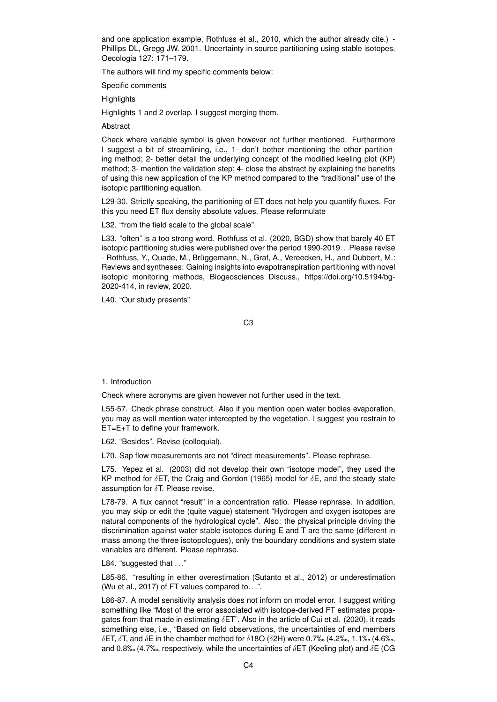and one application example, Rothfuss et al., 2010, which the author already cite.) - Phillips DL, Gregg JW. 2001. Uncertainty in source partitioning using stable isotopes. Oecologia 127: 171–179.

The authors will find my specific comments below:

Specific comments

**Highlights** 

Highlights 1 and 2 overlap. I suggest merging them.

**Abstract** 

Check where variable symbol is given however not further mentioned. Furthermore I suggest a bit of streamlining, i.e., 1- don't bother mentioning the other partitioning method; 2- better detail the underlying concept of the modified keeling plot (KP) method; 3- mention the validation step; 4- close the abstract by explaining the benefits of using this new application of the KP method compared to the "traditional" use of the isotopic partitioning equation.

L29-30. Strictly speaking, the partitioning of ET does not help you quantify fluxes. For this you need ET flux density absolute values. Please reformulate

L32. "from the field scale to the global scale"

L33. "often" is a too strong word. Rothfuss et al. (2020, BGD) show that barely 40 ET isotopic partitioning studies were published over the period 1990-2019. . .Please revise - Rothfuss, Y., Quade, M., Brüggemann, N., Graf, A., Vereecken, H., and Dubbert, M.: Reviews and syntheses: Gaining insights into evapotranspiration partitioning with novel isotopic monitoring methods, Biogeosciences Discuss., https://doi.org/10.5194/bg-2020-414, in review, 2020.

L40. "Our study presents"

C3

## 1. Introduction

Check where acronyms are given however not further used in the text.

L55-57. Check phrase construct. Also if you mention open water bodies evaporation, you may as well mention water intercepted by the vegetation. I suggest you restrain to ET=E+T to define your framework.

L62. "Besides". Revise (colloquial).

L70. Sap flow measurements are not "direct measurements". Please rephrase.

L75. Yepez et al. (2003) did not develop their own "isotope model", they used the KP method for  $\delta$ ET, the Craig and Gordon (1965) model for  $\delta$ E, and the steady state assumption for  $\delta T$ . Please revise.

L78-79. A flux cannot "result" in a concentration ratio. Please rephrase. In addition, you may skip or edit the (quite vague) statement "Hydrogen and oxygen isotopes are natural components of the hydrological cycle". Also: the physical principle driving the discrimination against water stable isotopes during E and T are the same (different in mass among the three isotopologues), only the boundary conditions and system state variables are different. Please rephrase.

L84. "suggested that . . ."

L85-86. "resulting in either overestimation (Sutanto et al., 2012) or underestimation (Wu et al., 2017) of FT values compared to. . .".

L86-87. A model sensitivity analysis does not inform on model error. I suggest writing something like "Most of the error associated with isotope-derived FT estimates propagates from that made in estimating  $\delta$ ET". Also in the article of Cui et al. (2020), it reads something else, i.e., "Based on field observations, the uncertainties of end members δET, δT, and δE in the chamber method for δ18O (δ2H) were 0.7‰ (4.2‰, 1.1‰ (4.6‰, and 0.8‰ (4.7‰, respectively, while the uncertainties of  $\delta$ ET (Keeling plot) and  $\delta$ E (CG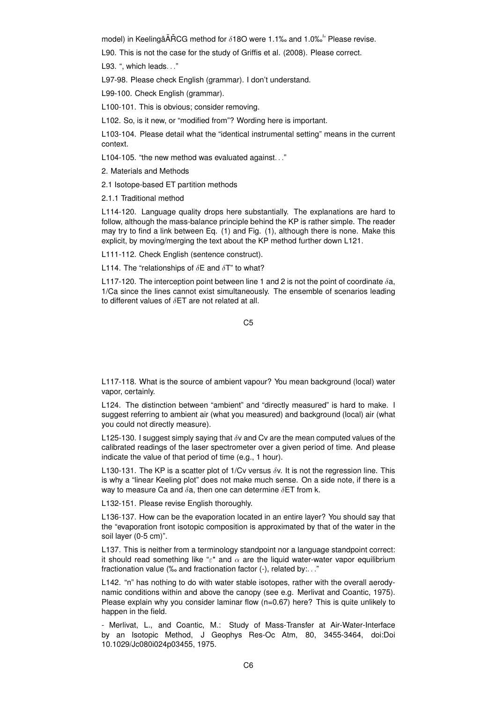model) in Keelingâ $\tilde{A}$ RCG method for  $\delta$ 180 were 1.1‰ and 1.0‰<sup>\*</sup>' Please revise.

L90. This is not the case for the study of Griffis et al. (2008). Please correct.

L93. ", which leads. . ."

L97-98. Please check English (grammar). I don't understand.

L99-100. Check English (grammar).

L100-101. This is obvious; consider removing.

L102. So, is it new, or "modified from"? Wording here is important.

L103-104. Please detail what the "identical instrumental setting" means in the current context.

L104-105. "the new method was evaluated against. . ."

2. Materials and Methods

2.1 Isotope-based ET partition methods

2.1.1 Traditional method

L114-120. Language quality drops here substantially. The explanations are hard to follow, although the mass-balance principle behind the KP is rather simple. The reader may try to find a link between Eq. (1) and Fig. (1), although there is none. Make this explicit, by moving/merging the text about the KP method further down L121.

L111-112. Check English (sentence construct).

L114. The "relationships of  $\delta$ E and  $\delta$ T" to what?

L117-120. The interception point between line 1 and 2 is not the point of coordinate  $\delta a$ , 1/Ca since the lines cannot exist simultaneously. The ensemble of scenarios leading to different values of  $\delta$ ET are not related at all.

 $C<sub>5</sub>$ 

L117-118. What is the source of ambient vapour? You mean background (local) water vapor, certainly.

L124. The distinction between "ambient" and "directly measured" is hard to make. I suggest referring to ambient air (what you measured) and background (local) air (what you could not directly measure).

L125-130. I suggest simply saying that  $\delta v$  and Cv are the mean computed values of the calibrated readings of the laser spectrometer over a given period of time. And please indicate the value of that period of time (e.g., 1 hour).

L130-131. The KP is a scatter plot of 1/Cv versus  $\delta v$ . It is not the regression line. This is why a "linear Keeling plot" does not make much sense. On a side note, if there is a way to measure Ca and  $\delta$ a, then one can determine  $\delta$ ET from k.

L132-151. Please revise English thoroughly.

L136-137. How can be the evaporation located in an entire layer? You should say that the "evaporation front isotopic composition is approximated by that of the water in the soil layer (0-5 cm)".

L137. This is neither from a terminology standpoint nor a language standpoint correct: it should read something like " $\varepsilon^*$  and  $\alpha$  are the liquid water-water vapor equilibrium fractionation value (‰ and fractionation factor (-), related by:. . ."

L142. "n" has nothing to do with water stable isotopes, rather with the overall aerodynamic conditions within and above the canopy (see e.g. Merlivat and Coantic, 1975). Please explain why you consider laminar flow  $(n=0.67)$  here? This is quite unlikely to happen in the field.

- Merlivat, L., and Coantic, M.: Study of Mass-Transfer at Air-Water-Interface by an Isotopic Method, J Geophys Res-Oc Atm, 80, 3455-3464, doi:Doi 10.1029/Jc080i024p03455, 1975.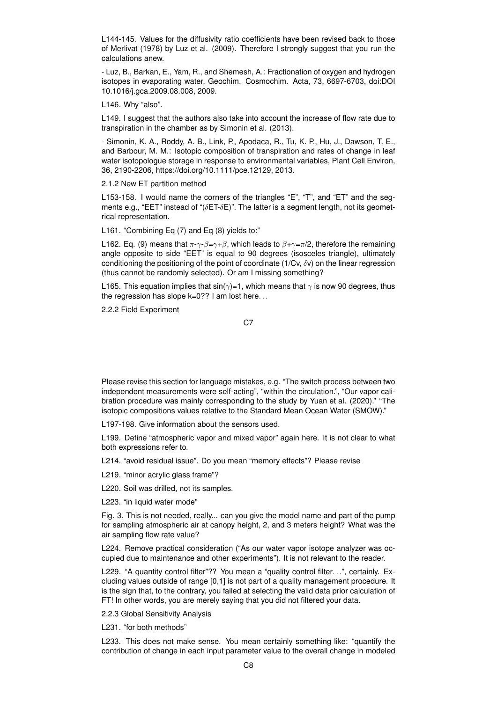L144-145. Values for the diffusivity ratio coefficients have been revised back to those of Merlivat (1978) by Luz et al. (2009). Therefore I strongly suggest that you run the calculations anew.

- Luz, B., Barkan, E., Yam, R., and Shemesh, A.: Fractionation of oxygen and hydrogen isotopes in evaporating water, Geochim. Cosmochim. Acta, 73, 6697-6703, doi:DOI 10.1016/j.gca.2009.08.008, 2009.

L146. Why "also".

L149. I suggest that the authors also take into account the increase of flow rate due to transpiration in the chamber as by Simonin et al. (2013).

- Simonin, K. A., Roddy, A. B., Link, P., Apodaca, R., Tu, K. P., Hu, J., Dawson, T. E., and Barbour, M. M.: Isotopic composition of transpiration and rates of change in leaf water isotopologue storage in response to environmental variables, Plant Cell Environ, 36, 2190-2206, https://doi.org/10.1111/pce.12129, 2013.

2.1.2 New ET partition method

L153-158. I would name the corners of the triangles "E", "T", and "ET" and the segments e.g., "EET" instead of " $(\delta E T - \delta E)$ ". The latter is a segment length, not its geometrical representation.

L161. "Combining Eq (7) and Eq (8) yields to:"

L162. Eq. (9) means that  $\pi-\gamma-\beta=\gamma+\beta$ , which leads to  $\beta+\gamma=\pi/2$ , therefore the remaining angle opposite to side "EET" is equal to 90 degrees (isosceles triangle), ultimately conditioning the positioning of the point of coordinate (1/Cv,  $\delta$ v) on the linear regression (thus cannot be randomly selected). Or am I missing something?

L165. This equation implies that  $sin(\gamma)=1$ , which means that  $\gamma$  is now 90 degrees, thus the regression has slope k=0?? I am lost here...

2.2.2 Field Experiment

C<sub>7</sub>

Please revise this section for language mistakes, e.g. "The switch process between two independent measurements were self-acting", "within the circulation.", "Our vapor calibration procedure was mainly corresponding to the study by Yuan et al. (2020)." "The isotopic compositions values relative to the Standard Mean Ocean Water (SMOW)."

L197-198. Give information about the sensors used.

L199. Define "atmospheric vapor and mixed vapor" again here. It is not clear to what both expressions refer to.

L214. "avoid residual issue". Do you mean "memory effects"? Please revise

L219. "minor acrylic glass frame"?

L220. Soil was drilled, not its samples.

L223. "in liquid water mode"

Fig. 3. This is not needed, really... can you give the model name and part of the pump for sampling atmospheric air at canopy height, 2, and 3 meters height? What was the air sampling flow rate value?

L224. Remove practical consideration ("As our water vapor isotope analyzer was occupied due to maintenance and other experiments"). It is not relevant to the reader.

L229. "A quantity control filter"?? You mean a "quality control filter...", certainly. Excluding values outside of range [0,1] is not part of a quality management procedure. It is the sign that, to the contrary, you failed at selecting the valid data prior calculation of FT! In other words, you are merely saying that you did not filtered your data.

2.2.3 Global Sensitivity Analysis

L231. "for both methods"

L233. This does not make sense. You mean certainly something like: "quantify the contribution of change in each input parameter value to the overall change in modeled